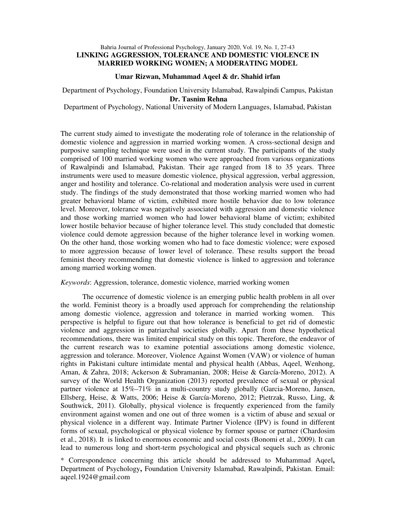## Bahria Journal of Professional Psychology, January 2020, Vol. 19, No. 1, 27-43 **LINKING AGGRESSION, TOLERANCE AND DOMESTIC VIOLENCE IN MARRIED WORKING WOMEN; A MODERATING MODEL**

#### **Umar Rizwan, Muhammad Aqeel & dr. Shahid irfan**

Department of Psychology, Foundation University Islamabad, Rawalpindi Campus, Pakistan  **Dr. Tasnim Rehna** 

Department of Psychology, National University of Modern Languages, Islamabad, Pakistan

The current study aimed to investigate the moderating role of tolerance in the relationship of domestic violence and aggression in married working women. A cross-sectional design and purposive sampling technique were used in the current study. The participants of the study comprised of 100 married working women who were approached from various organizations of Rawalpindi and Islamabad, Pakistan. Their age ranged from 18 to 35 years. Three instruments were used to measure domestic violence, physical aggression, verbal aggression, anger and hostility and tolerance. Co-relational and moderation analysis were used in current study. The findings of the study demonstrated that those working married women who had greater behavioral blame of victim, exhibited more hostile behavior due to low tolerance level. Moreover, tolerance was negatively associated with aggression and domestic violence and those working married women who had lower behavioral blame of victim; exhibited lower hostile behavior because of higher tolerance level. This study concluded that domestic violence could demote aggression because of the higher tolerance level in working women. On the other hand, those working women who had to face domestic violence; were exposed to more aggression because of lower level of tolerance. These results support the broad feminist theory recommending that domestic violence is linked to aggression and tolerance among married working women.

### *Keywords*: Aggression, tolerance, domestic violence, married working women

The occurrence of domestic violence is an emerging public health problem in all over the world. Feminist theory is a broadly used approach for comprehending the relationship among domestic violence, aggression and tolerance in married working women. This perspective is helpful to figure out that how tolerance is beneficial to get rid of domestic violence and aggression in patriarchal societies globally. Apart from these hypothetical recommendations, there was limited empirical study on this topic. Therefore, the endeavor of the current research was to examine potential associations among domestic violence, aggression and tolerance. Moreover, Violence Against Women (VAW) or violence of human rights in Pakistani culture intimidate mental and physical health (Abbas, Aqeel, Wenhong, Aman, & Zahra, 2018; Ackerson & Subramanian, 2008; Heise & García-Moreno, 2012). A survey of the World Health Organization (2013) reported prevalence of sexual or physical partner violence at 15%–71% in a multi-country study globally (Garcia-Moreno, Jansen, Ellsberg, Heise, & Watts, 2006; Heise & García-Moreno, 2012; Pietrzak, Russo, Ling, & Southwick, 2011). Globally, physical violence is frequently experienced from the family environment against women and one out of three women is a victim of abuse and sexual or physical violence in a different way. Intimate Partner Violence (IPV) is found in different forms of sexual, psychological or physical violence by former spouse or partner (Chardosim et al., 2018). It is linked to enormous economic and social costs (Bonomi et al., 2009). It can lead to numerous long and short-term psychological and physical sequels such as chronic

\* Correspondence concerning this article should be addressed to Muhammad Aqeel**,**  Department of Psychology**,** Foundation University Islamabad, Rawalpindi, Pakistan. Email: aqeel.1924@gmail.com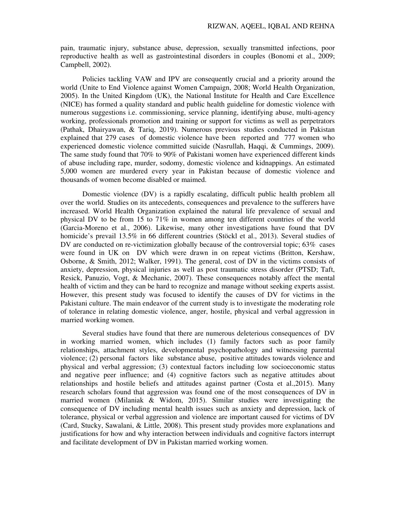pain, traumatic injury, substance abuse, depression, sexually transmitted infections, poor reproductive health as well as gastrointestinal disorders in couples (Bonomi et al., 2009; Campbell, 2002).

Policies tackling VAW and IPV are consequently crucial and a priority around the world (Unite to End Violence against Women Campaign, 2008; World Health Organization, 2005). In the United Kingdom (UK), the National Institute for Health and Care Excellence (NICE) has formed a quality standard and public health guideline for domestic violence with numerous suggestions i.e. commissioning, service planning, identifying abuse, multi-agency working, professionals promotion and training or support for victims as well as perpetrators (Pathak, Dhairyawan, & Tariq, 2019). Numerous previous studies conducted in Pakistan explained that 279 cases of domestic violence have been reported and 777 women who experienced domestic violence committed suicide (Nasrullah, Haqqi, & Cummings, 2009). The same study found that 70% to 90% of Pakistani women have experienced different kinds of abuse including rape, murder, sodomy, domestic violence and kidnappings. An estimated 5,000 women are murdered every year in Pakistan because of domestic violence and thousands of women become disabled or maimed.

Domestic violence (DV) is a rapidly escalating, difficult public health problem all over the world. Studies on its antecedents, consequences and prevalence to the sufferers have increased. World Health Organization explained the natural life prevalence of sexual and physical DV to be from 15 to 71% in women among ten different countries of the world (Garcia-Moreno et al., 2006). Likewise, many other investigations have found that DV homicide's prevail 13.5% in 66 different countries (Stöckl et al., 2013). Several studies of DV are conducted on re-victimization globally because of the controversial topic; 63% cases were found in UK on DV which were drawn in on repeat victims (Britton, Kershaw, Osborne, & Smith, 2012; Walker, 1991). The general, cost of DV in the victims consists of anxiety, depression, physical injuries as well as post traumatic stress disorder (PTSD; Taft, Resick, Panuzio, Vogt, & Mechanic, 2007). These consequences notably affect the mental health of victim and they can be hard to recognize and manage without seeking experts assist. However, this present study was focused to identify the causes of DV for victims in the Pakistani culture. The main endeavor of the current study is to investigate the moderating role of tolerance in relating domestic violence, anger, hostile, physical and verbal aggression in married working women.

Several studies have found that there are numerous deleterious consequences of DV in working married women, which includes (1) family factors such as poor family relationships, attachment styles, developmental psychopathology and witnessing parental violence; (2) personal factors like substance abuse, positive attitudes towards violence and physical and verbal aggression; (3) contextual factors including low socioeconomic status and negative peer influence; and (4) cognitive factors such as negative attitudes about relationships and hostile beliefs and attitudes against partner (Costa et al.,2015). Many research scholars found that aggression was found one of the most consequences of DV in married women (Milaniak & Widom, 2015). Similar studies were investigating the consequence of DV including mental health issues such as anxiety and depression, lack of tolerance, physical or verbal aggression and violence are important caused for victims of DV (Card, Stucky, Sawalani, & Little, 2008). This present study provides more explanations and justifications for how and why interaction between individuals and cognitive factors interrupt and facilitate development of DV in Pakistan married working women.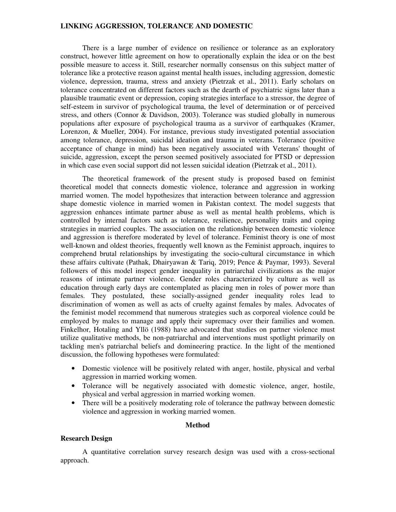There is a large number of evidence on resilience or tolerance as an exploratory construct, however little agreement on how to operationally explain the idea or on the best possible measure to access it. Still, researcher normally consensus on this subject matter of tolerance like a protective reason against mental health issues, including aggression, domestic violence, depression, trauma, stress and anxiety (Pietrzak et al., 2011). Early scholars on tolerance concentrated on different factors such as the dearth of psychiatric signs later than a plausible traumatic event or depression, coping strategies interface to a stressor, the degree of self-esteem in survivor of psychological trauma, the level of determination or of perceived stress, and others (Connor & Davidson, 2003). Tolerance was studied globally in numerous populations after exposure of psychological trauma as a survivor of earthquakes (Kramer, Lorenzon, & Mueller, 2004). For instance, previous study investigated potential association among tolerance, depression, suicidal ideation and trauma in veterans. Tolerance (positive acceptance of change in mind) has been negatively associated with Veterans' thought of suicide, aggression, except the person seemed positively associated for PTSD or depression in which case even social support did not lessen suicidal ideation (Pietrzak et al., 2011).

The theoretical framework of the present study is proposed based on feminist theoretical model that connects domestic violence, tolerance and aggression in working married women. The model hypothesizes that interaction between tolerance and aggression shape domestic violence in married women in Pakistan context. The model suggests that aggression enhances intimate partner abuse as well as mental health problems, which is controlled by internal factors such as tolerance, resilience, personality traits and coping strategies in married couples. The association on the relationship between domestic violence and aggression is therefore moderated by level of tolerance. Feminist theory is one of most well-known and oldest theories, frequently well known as the Feminist approach, inquires to comprehend brutal relationships by investigating the socio-cultural circumstance in which these affairs cultivate (Pathak, Dhairyawan & Tariq, 2019; Pence & Paymar, 1993). Several followers of this model inspect gender inequality in patriarchal civilizations as the major reasons of intimate partner violence. Gender roles characterized by culture as well as education through early days are contemplated as placing men in roles of power more than females. They postulated, these socially-assigned gender inequality roles lead to discrimination of women as well as acts of cruelty against females by males. Advocates of the feminist model recommend that numerous strategies such as corporeal violence could be employed by males to manage and apply their supremacy over their families and women. Finkelhor, Hotaling and Yllö (1988) have advocated that studies on partner violence must utilize qualitative methods, be non-patriarchal and interventions must spotlight primarily on tackling men's patriarchal beliefs and domineering practice. In the light of the mentioned discussion, the following hypotheses were formulated:

- Domestic violence will be positively related with anger, hostile, physical and verbal aggression in married working women.
- Tolerance will be negatively associated with domestic violence, anger, hostile, physical and verbal aggression in married working women.
- There will be a positively moderating role of tolerance the pathway between domestic violence and aggression in working married women.

#### **Method**

#### **Research Design**

A quantitative correlation survey research design was used with a cross-sectional approach.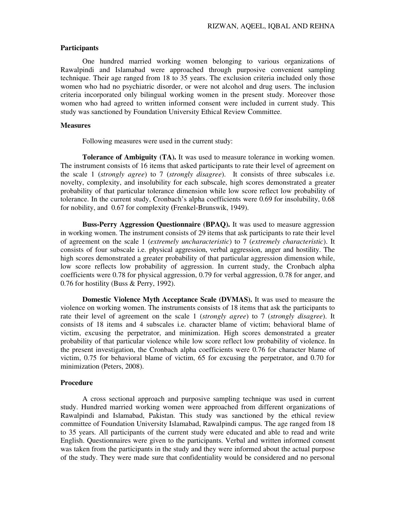#### **Participants**

One hundred married working women belonging to various organizations of Rawalpindi and Islamabad were approached through purposive convenient sampling technique. Their age ranged from 18 to 35 years. The exclusion criteria included only those women who had no psychiatric disorder, or were not alcohol and drug users. The inclusion criteria incorporated only bilingual working women in the present study. Moreover those women who had agreed to written informed consent were included in current study. This study was sanctioned by Foundation University Ethical Review Committee.

### **Measures**

Following measures were used in the current study:

**Tolerance of Ambiguity (TA).** It was used to measure tolerance in working women. The instrument consists of 16 items that asked participants to rate their level of agreement on the scale 1 (*strongly agree*) to 7 (*strongly disagree*). It consists of three subscales i.e. novelty, complexity, and insolubility for each subscale, high scores demonstrated a greater probability of that particular tolerance dimension while low score reflect low probability of tolerance. In the current study, Cronbach's alpha coefficients were 0.69 for insolubility, 0.68 for nobility, and 0.67 for complexity **(**Frenkel‐Brunswik, 1949).

**Buss-Perry Aggression Questionnaire (BPAQ).** It was used to measure aggression in working women. The instrument consists of 29 items that ask participants to rate their level of agreement on the scale 1 (*extremely uncharacteristic*) to 7 (*extremely characteristic*). It consists of four subscale i.e. physical aggression, verbal aggression, anger and hostility. The high scores demonstrated a greater probability of that particular aggression dimension while, low score reflects low probability of aggression. In current study, the Cronbach alpha coefficients were 0.78 for physical aggression, 0.79 for verbal aggression, 0.78 for anger, and 0.76 for hostility (Buss & Perry, 1992).

**Domestic Violence Myth Acceptance Scale (DVMAS).** It was used to measure the violence on working women. The instruments consists of 18 items that ask the participants to rate their level of agreement on the scale 1 (*strongly agree*) to 7 (*strongly disagree*). It consists of 18 items and 4 subscales i.e. character blame of victim; behavioral blame of victim, excusing the perpetrator, and minimization. High scores demonstrated a greater probability of that particular violence while low score reflect low probability of violence. In the present investigation, the Cronbach alpha coefficients were 0.76 for character blame of victim, 0.75 for behavioral blame of victim, 65 for excusing the perpetrator, and 0.70 for minimization (Peters, 2008).

#### **Procedure**

A cross sectional approach and purposive sampling technique was used in current study. Hundred married working women were approached from different organizations of Rawalpindi and Islamabad, Pakistan. This study was sanctioned by the ethical review committee of Foundation University Islamabad, Rawalpindi campus. The age ranged from 18 to 35 years. All participants of the current study were educated and able to read and write English. Questionnaires were given to the participants. Verbal and written informed consent was taken from the participants in the study and they were informed about the actual purpose of the study. They were made sure that confidentiality would be considered and no personal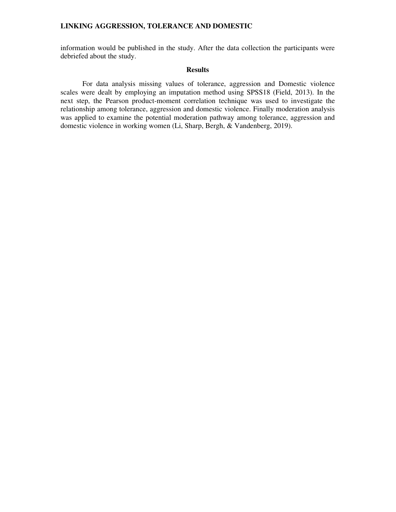information would be published in the study. After the data collection the participants were debriefed about the study.

## **Results**

 For data analysis missing values of tolerance, aggression and Domestic violence scales were dealt by employing an imputation method using SPSS18 (Field, 2013). In the next step, the Pearson product-moment correlation technique was used to investigate the relationship among tolerance, aggression and domestic violence. Finally moderation analysis was applied to examine the potential moderation pathway among tolerance, aggression and domestic violence in working women (Li, Sharp, Bergh, & Vandenberg, 2019).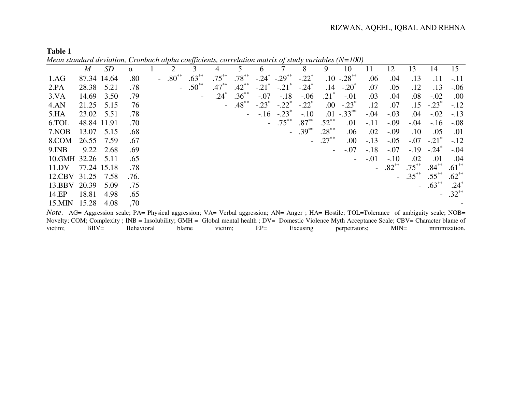| Ш<br>п | 1<br>ш |  |
|--------|--------|--|
|        |        |  |

*Mean standard deviation, Cronbach alpha coefficients, correlation matrix of study variables (N=100)*

|          | $\boldsymbol{M}$ | <i>SD</i>   | $\alpha$ |     | 2          | 3          | 4        |          | 6                   |                     | 8                   | 9                        | 10                       | 11     | 12      | 13       | 14                  | 15       |
|----------|------------------|-------------|----------|-----|------------|------------|----------|----------|---------------------|---------------------|---------------------|--------------------------|--------------------------|--------|---------|----------|---------------------|----------|
| 1.AG     |                  | 87.34 14.64 | .80      | $-$ | $.80^{**}$ | $.63***$   | $.75***$ | $.78***$ | $-.24*$             | $-.29***$           | $-.22*$             |                          | $.10 - .28$ **           | .06    | .04     | .13      | .11                 | $-.11$   |
| 2.PA     | 28.38            | 5.21        | .78      |     |            | $.50^{**}$ | $.47***$ | $.42***$ | $-.21$ <sup>*</sup> | $-.21$ <sup>*</sup> | $-.24$ <sup>*</sup> | .14                      | $-.20^*$                 | .07    | .05     | .12      | .13                 | $-.06$   |
| 3.VA     | 14.69            | 3.50        | .79      |     |            |            | $.24^*$  | $.36***$ | $-.07$              | $-.18$              | $-.06$              | $.21*$                   | $-.01$                   | .03    | .04     | .08      | $-.02$              | .00      |
| 4.AN     | 21.25            | 5.15        | 76       |     |            |            | $\equiv$ | $.48***$ | $-.23*$             | $-.22$ <sup>*</sup> | $-.22*$             | .00.                     | $-.23*$                  | .12    | .07     | .15      | $-.23*$             | $-.12$   |
| 5.HA     | 23.02            | 5.51        | .78      |     |            |            |          |          | $-.16$              | $-.23$              | $-.10$              |                          | $.01 - .33***$           | $-.04$ | $-.03$  | .04      | $-.02$              | $-.13$   |
| 6.TOL    | 48.84 11.91      |             | .70      |     |            |            |          |          |                     | $.75***$            | $.87***$            | $.52***$                 | .01                      | $-.11$ | $-.09$  | $-.04$   | $-.16$              | $-.08$   |
| 7.NOB    | 13.07            | 5.15        | .68      |     |            |            |          |          |                     |                     | $.39***$            | $.28***$                 | .06                      | .02    | $-.09$  | $.10\,$  | .05                 | .01      |
| 8.COM    | 26.55            | 7.59        | .67      |     |            |            |          |          |                     |                     |                     | $.27***$                 | .00.                     | $-.13$ | $-.05$  | $-.07$   | $-.21$ <sup>*</sup> | $-.12$   |
| $9.$ INB | 9.22             | 2.68        | .69      |     |            |            |          |          |                     |                     |                     | $\overline{\phantom{a}}$ | $-.07$                   | $-.18$ | $-.07$  | $-.19$   | $-.24^*$            | $-.04$   |
| 10.GMH   | 32.26            | 5.11        | .65      |     |            |            |          |          |                     |                     |                     |                          | $\overline{\phantom{a}}$ | $-.01$ | $-.10$  | .02      | .01                 | .04      |
| 11.DV    |                  | 77.24 15.18 | .78      |     |            |            |          |          |                     |                     |                     |                          |                          | $\sim$ | $.82**$ | $.75***$ | $.84***$            | $.61***$ |
| 12.CBV   | 31.25            | 7.58        | .76.     |     |            |            |          |          |                     |                     |                     |                          |                          |        |         | $.35***$ | $.55***$            | $.62***$ |
| 13.BBV   | 20.39            | 5.09        | .75      |     |            |            |          |          |                     |                     |                     |                          |                          |        |         |          | $.63***$            | $.24*$   |
| 14.EP    | 18.81            | 4.98        | .65      |     |            |            |          |          |                     |                     |                     |                          |                          |        |         |          |                     | $.32***$ |
| 15.MIN   | 15.28            | 4.08        | ,70      |     |            |            |          |          |                     |                     |                     |                          |                          |        |         |          |                     |          |
|          |                  |             |          |     |            |            |          |          |                     |                     |                     |                          |                          |        |         |          |                     |          |

*Note*. AG= Aggression scale; PA= Physical aggression; VA= Verbal aggression; AN= Anger ; HA= Hostile; TOL=Tolerance of ambiguity scale; NOB= Novelty; COM; Complexity ; INB = Insolubility; GMH = Global mental health ; DV= Domestic Violence Myth Acceptance Scale; CBV= Character blame of minimization. victim; BBV= Behavioral blame victim; EP= Excusing perpetrators; MIN= minimization.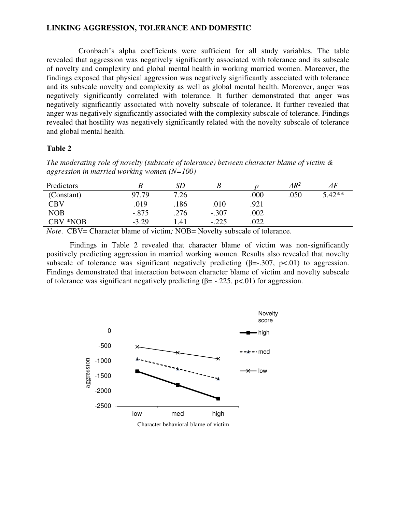Cronbach's alpha coefficients were sufficient for all study variables. The table revealed that aggression was negatively significantly associated with tolerance and its subscale of novelty and complexity and global mental health in working married women. Moreover, the findings exposed that physical aggression was negatively significantly associated with tolerance and its subscale novelty and complexity as well as global mental health. Moreover, anger was negatively significantly correlated with tolerance. It further demonstrated that anger was negatively significantly associated with novelty subscale of tolerance. It further revealed that anger was negatively significantly associated with the complexity subscale of tolerance. Findings revealed that hostility was negatively significantly related with the novelty subscale of tolerance and global mental health.

## **Table 2**

*The moderating role of novelty (subscale of tolerance) between character blame of victim & aggression in married working women (N=100)* 

| Predictors |         | SD   |         |      | $\it{AR}^2$ | $\varDelta F$ |
|------------|---------|------|---------|------|-------------|---------------|
| (Constant) | 97.79   | 7.26 |         | .000 | .050        | $5.42**$      |
| <b>CBV</b> | .019    | .186 | .010    | .921 |             |               |
| <b>NOB</b> | $-.875$ | .276 | $-.307$ | .002 |             |               |
| CBV *NOB   | $-3.29$ | .41  | $-.225$ | 022  |             |               |

*Note.* CBV= Character blame of victim; NOB= Novelty subscale of tolerance.

Findings in Table 2 revealed that character blame of victim was non-significantly positively predicting aggression in married working women. Results also revealed that novelty subscale of tolerance was significant negatively predicting  $(\beta = .307, p < .01)$  to aggression. Findings demonstrated that interaction between character blame of victim and novelty subscale of tolerance was significant negatively predicting  $(\beta = -0.225, \, \text{p} < 0.01)$  for aggression.

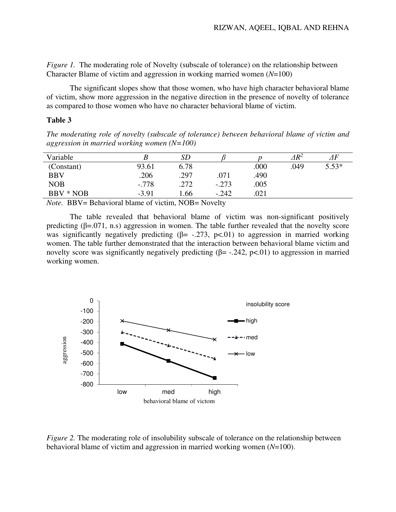*Figure 1.* The moderating role of Novelty (subscale of tolerance) on the relationship between Character Blame of victim and aggression in working married women (*N*=100)

The significant slopes show that those women, who have high character behavioral blame of victim, show more aggression in the negative direction in the presence of novelty of tolerance as compared to those women who have no character behavioral blame of victim.

## **Table 3**

*The moderating role of novelty (subscale of tolerance) between behavioral blame of victim and aggression in married working women (N=100)* 

| Variable                      |                             | <b>SD</b>    |              |      | $\it 4R^2$ | ⊿F      |  |
|-------------------------------|-----------------------------|--------------|--------------|------|------------|---------|--|
| (Constant)                    | 93.61                       | 6.78         |              | .000 | .049       | $5.53*$ |  |
| <b>BBV</b>                    | .206                        | .297         | .071         | .490 |            |         |  |
| <b>NOB</b>                    | $-.778$                     | .272         | $-.273$      | .005 |            |         |  |
| BBV * NOB                     | $-3.91$                     | 1.66         | $-.242$      | .021 |            |         |  |
| $\mathbf{v}$ mps $\mathbf{v}$ | 111<br>$\sim$ $\sim$ $\sim$ | $\mathbf{1}$ | $\mathbf{1}$ |      |            |         |  |

*Note.* BBV= Behavioral blame of victim, NOB= Novelty

The table revealed that behavioral blame of victim was non-significant positively predicting  $(\beta = 0.071, n.s)$  aggression in women. The table further revealed that the novelty score was significantly negatively predicting  $(\beta = -0.273, \, p < 0.01)$  to aggression in married working women. The table further demonstrated that the interaction between behavioral blame victim and novelty score was significantly negatively predicting  $(\beta = -0.242, \, p < 0.01)$  to aggression in married working women.



*Figure 2.* The moderating role of insolubility subscale of tolerance on the relationship between behavioral blame of victim and aggression in married working women (*N*=100).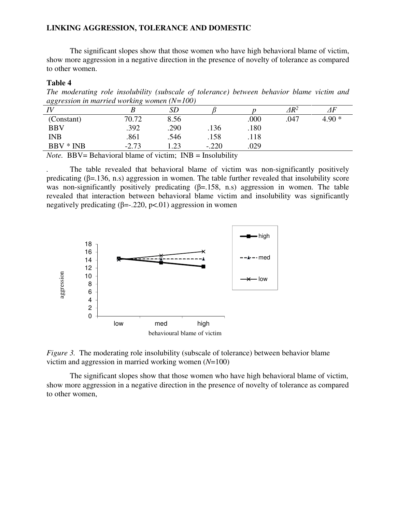The significant slopes show that those women who have high behavioral blame of victim, show more aggression in a negative direction in the presence of novelty of tolerance as compared to other women.

### **Table 4**

*The moderating role insolubility (subscale of tolerance) between behavior blame victim and aggression in married working women (N=100)* 

| ം          |         |           |         |      |              |               |
|------------|---------|-----------|---------|------|--------------|---------------|
| IV         |         | <b>SD</b> |         |      | $\Delta R^2$ | $\varDelta F$ |
| (Constant) | 70.72   | 8.56      |         | .000 | .047         | $4.90*$       |
| <b>BBV</b> | .392    | .290      | .136    | .180 |              |               |
| <b>INB</b> | .861    | .546      | .158    | .118 |              |               |
| BBV * INB  | $-2.73$ | 1.23      | $-.220$ | .029 |              |               |
|            |         |           |         |      |              |               |

*Note.* BBV= Behavioral blame of victim; INB = Insolubility

The table revealed that behavioral blame of victim was non-significantly positively predicating  $(\beta = 136, n.s)$  aggression in women. The table further revealed that insolubility score was non-significantly positively predicating  $(\beta = 158, n.s)$  aggression in women. The table revealed that interaction between behavioral blame victim and insolubility was significantly negatively predicating  $(\beta = -0.220, \, \text{pc}, 01)$  aggression in women



*Figure 3.* The moderating role insolubility (subscale of tolerance) between behavior blame victim and aggression in married working women (*N*=100)

The significant slopes show that those women who have high behavioral blame of victim, show more aggression in a negative direction in the presence of novelty of tolerance as compared to other women,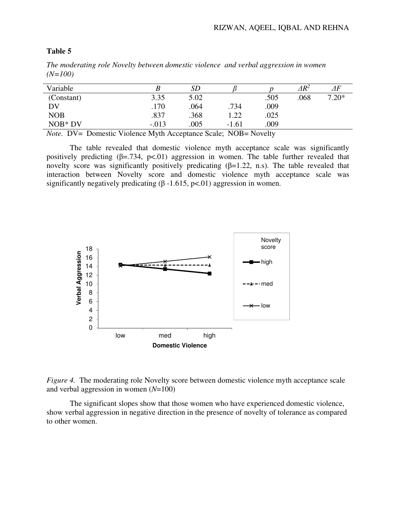| The moderating role Hoven's between abilitatione vibrence and verbal aggression in women<br>$(N=100)$ |      |      |     |      |              |         |
|-------------------------------------------------------------------------------------------------------|------|------|-----|------|--------------|---------|
| Variable                                                                                              |      |      |     |      | $\Delta R^2$ |         |
| (Constant)                                                                                            | 3.35 | 5.02 |     | .505 | .068         | $7.20*$ |
| DV                                                                                                    | .170 | 064  | 734 | .009 |              |         |

### **Table 5**

*The moderating role Novelty between domestic violence and verbal aggression in women* 

NOB\* DV -.013 .005 -1.61 .009 *Note.* DV= Domestic Violence Myth Acceptance Scale; NOB= Novelty

NOB .837 .368 1.22 .025

The table revealed that domestic violence myth acceptance scale was significantly positively predicting  $(\beta = .734, \beta < .01)$  aggression in women. The table further revealed that novelty score was significantly positively predicating  $(\beta=1.22, n.s)$ . The table revealed that interaction between Novelty score and domestic violence myth acceptance scale was significantly negatively predicating  $(\beta -1.615, \text{p} < 0.01)$  aggression in women.



*Figure 4.* The moderating role Novelty score between domestic violence myth acceptance scale and verbal aggression in women (*N*=100)

The significant slopes show that those women who have experienced domestic violence, show verbal aggression in negative direction in the presence of novelty of tolerance as compared to other women.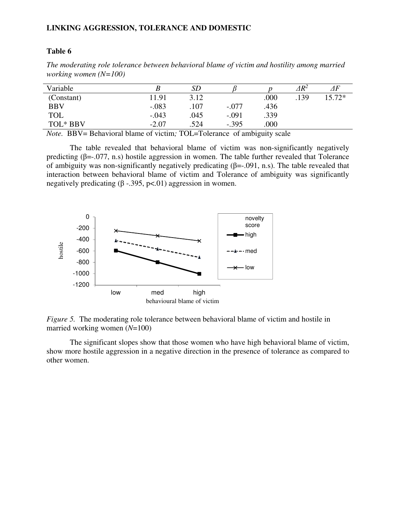## **Table 6**

*The moderating role tolerance between behavioral blame of victim and hostility among married working women (N=100)* 

| Variable   |         | SD   |         |      | $\varDelta\!R^2$ | ΔF       |
|------------|---------|------|---------|------|------------------|----------|
| (Constant) | 11.91   | 3.12 |         | .000 | .139             | $15.72*$ |
| <b>BBV</b> | $-.083$ | .107 | $-.077$ | .436 |                  |          |
| <b>TOL</b> | $-.043$ | .045 | $-.091$ | .339 |                  |          |
| TOL* BBV   | $-2.07$ | .524 | $-.395$ | .000 |                  |          |
|            |         |      |         |      |                  |          |

*Note.* BBV= Behavioral blame of victim; TOL=Tolerance of ambiguity scale

The table revealed that behavioral blame of victim was non-significantly negatively predicting  $(\beta = 0.077, n.s)$  hostile aggression in women. The table further revealed that Tolerance of ambiguity was non-significantly negatively predicating (β=-.091, n.s). The table revealed that interaction between behavioral blame of victim and Tolerance of ambiguity was significantly negatively predicating  $(\beta - .395, \text{ p} < .01)$  aggression in women.



*Figure 5.* The moderating role tolerance between behavioral blame of victim and hostile in married working women (*N*=100)

The significant slopes show that those women who have high behavioral blame of victim, show more hostile aggression in a negative direction in the presence of tolerance as compared to other women.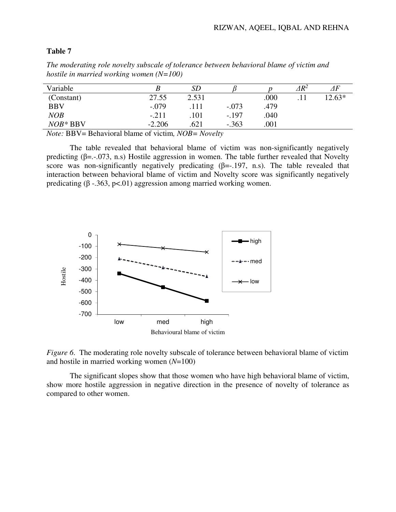# **Table 7**

| Variable   |          | SD    |         |      | $\it\Delta R^2$ | 4F     |
|------------|----------|-------|---------|------|-----------------|--------|
| (Constant) | 27.55    | 2.531 |         | .000 |                 | 12.63* |
| <b>BBV</b> | $-.079$  |       | $-.073$ | .479 |                 |        |
| <b>NOB</b> | $-.211$  | .101  | $-.197$ | .040 |                 |        |
| $NOB*BBV$  | $-2.206$ | .621  | $-.363$ | .001 |                 |        |

*The moderating role novelty subscale of tolerance between behavioral blame of victim and hostile in married working women (N=100)* 

*Note:* BBV= Behavioral blame of victim*, NOB= Novelty*

The table revealed that behavioral blame of victim was non-significantly negatively predicting ( $\beta$ =.-.073, n.s) Hostile aggression in women. The table further revealed that Novelty score was non-significantly negatively predicating  $(\beta = -197, n.s)$ . The table revealed that interaction between behavioral blame of victim and Novelty score was significantly negatively predicating (β -.363, p<.01) aggression among married working women.



*Figure 6.* The moderating role novelty subscale of tolerance between behavioral blame of victim and hostile in married working women (*N*=100)

The significant slopes show that those women who have high behavioral blame of victim, show more hostile aggression in negative direction in the presence of novelty of tolerance as compared to other women.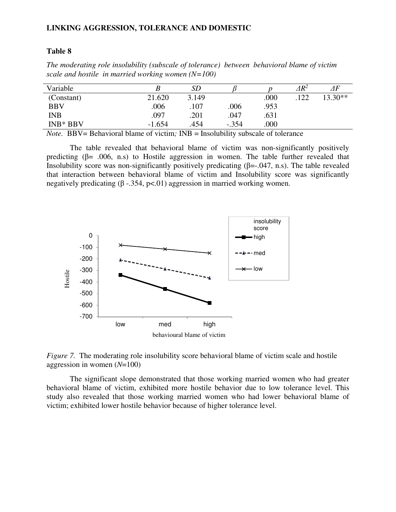## **Table 8**

| Variable   |          | SD    |         |      | $\it 4R^2$ | ΔF        |
|------------|----------|-------|---------|------|------------|-----------|
| (Constant) | 21.620   | 3.149 |         | .000 | 122        | $13.30**$ |
| <b>BBV</b> | .006     | .107  | .006    | .953 |            |           |
| <b>INB</b> | .097     | .201  | .047    | .631 |            |           |
| $INB*BBV$  | $-1.654$ | .454  | $-.354$ | .000 |            |           |
|            |          |       |         |      |            |           |

*The moderating role insolubility (subscale of tolerance) between behavioral blame of victim scale and hostile in married working women (N=100)*

*Note.* BBV= Behavioral blame of victim; INB = Insolubility subscale of tolerance

The table revealed that behavioral blame of victim was non-significantly positively predicting ( $\beta$ = .006, n.s) to Hostile aggression in women. The table further revealed that Insolubility score was non-significantly positively predicating  $(\beta = -0.047, n.s)$ . The table revealed that interaction between behavioral blame of victim and Insolubility score was significantly negatively predicating  $(\beta - 0.354, \, p \lt 0.01)$  aggression in married working women.



*Figure 7.* The moderating role insolubility score behavioral blame of victim scale and hostile aggression in women (*N*=100)

The significant slope demonstrated that those working married women who had greater behavioral blame of victim, exhibited more hostile behavior due to low tolerance level. This study also revealed that those working married women who had lower behavioral blame of victim; exhibited lower hostile behavior because of higher tolerance level.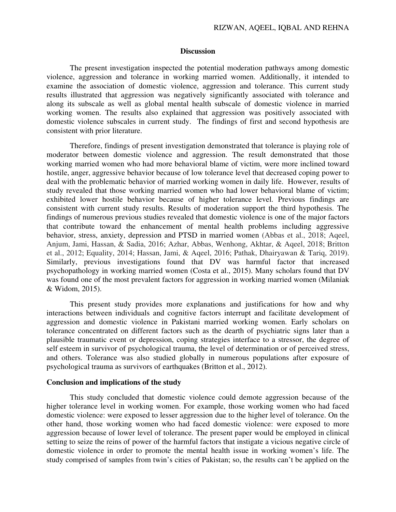## **Discussion**

The present investigation inspected the potential moderation pathways among domestic violence, aggression and tolerance in working married women. Additionally, it intended to examine the association of domestic violence, aggression and tolerance. This current study results illustrated that aggression was negatively significantly associated with tolerance and along its subscale as well as global mental health subscale of domestic violence in married working women. The results also explained that aggression was positively associated with domestic violence subscales in current study. The findings of first and second hypothesis are consistent with prior literature.

Therefore, findings of present investigation demonstrated that tolerance is playing role of moderator between domestic violence and aggression. The result demonstrated that those working married women who had more behavioral blame of victim, were more inclined toward hostile, anger, aggressive behavior because of low tolerance level that decreased coping power to deal with the problematic behavior of married working women in daily life. However, results of study revealed that those working married women who had lower behavioral blame of victim; exhibited lower hostile behavior because of higher tolerance level. Previous findings are consistent with current study results. Results of moderation support the third hypothesis. The findings of numerous previous studies revealed that domestic violence is one of the major factors that contribute toward the enhancement of mental health problems including aggressive behavior, stress, anxiety, depression and PTSD in married women (Abbas et al., 2018; Aqeel, Anjum, Jami, Hassan, & Sadia, 2016; Azhar, Abbas, Wenhong, Akhtar, & Aqeel, 2018; Britton et al., 2012; Equality, 2014; Hassan, Jami, & Aqeel, 2016; Pathak, Dhairyawan & Tariq, 2019). Similarly, previous investigations found that DV was harmful factor that increased psychopathology in working married women (Costa et al., 2015). Many scholars found that DV was found one of the most prevalent factors for aggression in working married women (Milaniak & Widom, 2015).

This present study provides more explanations and justifications for how and why interactions between individuals and cognitive factors interrupt and facilitate development of aggression and domestic violence in Pakistani married working women. Early scholars on tolerance concentrated on different factors such as the dearth of psychiatric signs later than a plausible traumatic event or depression, coping strategies interface to a stressor, the degree of self esteem in survivor of psychological trauma, the level of determination or of perceived stress, and others. Tolerance was also studied globally in numerous populations after exposure of psychological trauma as survivors of earthquakes (Britton et al., 2012).

#### **Conclusion and implications of the study**

This study concluded that domestic violence could demote aggression because of the higher tolerance level in working women. For example, those working women who had faced domestic violence: were exposed to lesser aggression due to the higher level of tolerance. On the other hand, those working women who had faced domestic violence: were exposed to more aggression because of lower level of tolerance. The present paper would be employed in clinical setting to seize the reins of power of the harmful factors that instigate a vicious negative circle of domestic violence in order to promote the mental health issue in working women's life. The study comprised of samples from twin's cities of Pakistan; so, the results can't be applied on the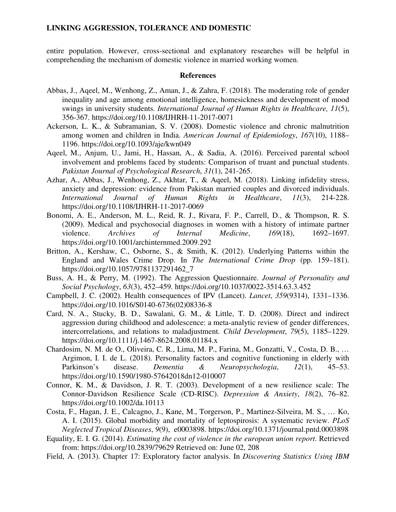entire population. However, cross-sectional and explanatory researches will be helpful in comprehending the mechanism of domestic violence in married working women.

#### **References**

- Abbas, J., Aqeel, M., Wenhong, Z., Aman, J., & Zahra, F. (2018). The moderating role of gender inequality and age among emotional intelligence, homesickness and development of mood swings in university students. *International Journal of Human Rights in Healthcare, 11*(5), 356-367. https://doi.org/10.1108/IJHRH-11-2017-0071
- Ackerson, L. K., & Subramanian, S. V. (2008). Domestic violence and chronic malnutrition among women and children in India. *American Journal of Epidemiology*, *167*(10), 1188– 1196. https://doi.org/10.1093/aje/kwn049
- Aqeel, M., Anjum, U., Jami, H., Hassan, A., & Sadia, A. (2016). Perceived parental school involvement and problems faced by students: Comparison of truant and punctual students. *Pakistan Journal of Psychological Research*, *31*(1), 241-265.
- Azhar, A., Abbas, J., Wenhong, Z., Akhtar, T., & Aqeel, M. (2018). Linking infidelity stress, anxiety and depression: evidence from Pakistan married couples and divorced individuals. *International Journal of Human Rights in Healthcare*, *11*(3), 214-228. https://doi.org/10.1108/IJHRH-11-2017-0069
- Bonomi, A. E., Anderson, M. L., Reid, R. J., Rivara, F. P., Carrell, D., & Thompson, R. S. (2009). Medical and psychosocial diagnoses in women with a history of intimate partner violence. *Archives of Internal Medicine*, *169*(18), 1692–1697. https://doi.org/10.1001/archinternmed.2009.292
- Britton, A., Kershaw, C., Osborne, S., & Smith, K. (2012). Underlying Patterns within the England and Wales Crime Drop. In *The International Crime Drop* (pp. 159–181). https://doi.org/10.1057/9781137291462\_7
- Buss, A. H., & Perry, M. (1992). The Aggression Questionnaire. *Journal of Personality and Social Psychology*, *63*(3), 452–459. https://doi.org/10.1037/0022-3514.63.3.452
- Campbell, J. C. (2002). Health consequences of IPV (Lancet). *Lancet*, *359*(9314), 1331–1336. https://doi.org/10.1016/S0140-6736(02)08336-8
- Card, N. A., Stucky, B. D., Sawalani, G. M., & Little, T. D. (2008). Direct and indirect aggression during childhood and adolescence: a meta-analytic review of gender differences, intercorrelations, and relations to maladjustment. *Child Development*, *79*(5), 1185–1229. https://doi.org/10.1111/j.1467-8624.2008.01184.x
- Chardosim, N. M. de O., Oliveira, C. R., Lima, M. P., Farina, M., Gonzatti, V., Costa, D. B., … Argimon, I. I. de L. (2018). Personality factors and cognitive functioning in elderly with Parkinson's disease. *Dementia & Neuropsychologia*, *12*(1), 45–53. https://doi.org/10.1590/1980-57642018dn12-010007
- Connor, K. M., & Davidson, J. R. T. (2003). Development of a new resilience scale: The Connor-Davidson Resilience Scale (CD-RISC). *Depression & Anxiety*, *18*(2), 76–82. https://doi.org/10.1002/da.10113
- Costa, F., Hagan, J. E., Calcagno, J., Kane, M., Torgerson, P., Martinez-Silveira, M. S., … Ko, A. I. (2015). Global morbidity and mortality of leptospirosis: A systematic review. *PLoS Neglected Tropical Diseases*, *9*(9), e0003898. https://doi.org/10.1371/journal.pntd.0003898
- Equality, E. I. G. (2014). *Estimating the cost of violence in the european union report*. Retrieved from: https://doi.org/10.2839/79629 Retrieved on: June 02, 208
- Field, A. (2013). Chapter 17: Exploratory factor analysis. In *Discovering Statistics Using IBM*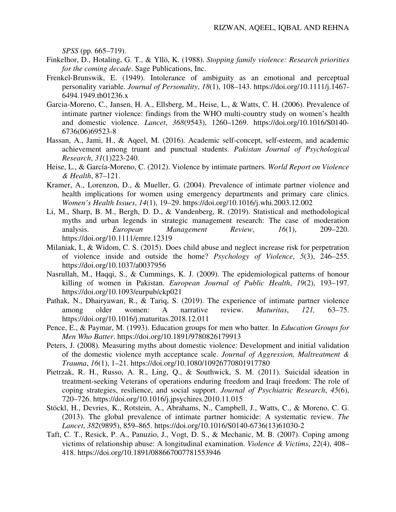*SPSS* (pp. 665–719).

- Finkelhor, D., Hotaling, G. T., & Yllö, K. (1988). *Stopping family violence: Research priorities for the coming decade*. Sage Publications, Inc.
- Frenkel-Brunswik, E. (1949). Intolerance of ambiguity as an emotional and perceptual personality variable. *Journal of Personality*, *18*(1), 108–143. https://doi.org/10.1111/j.1467- 6494.1949.tb01236.x
- Garcia-Moreno, C., Jansen, H. A., Ellsberg, M., Heise, L., & Watts, C. H. (2006). Prevalence of intimate partner violence: findings from the WHO multi-country study on women's health and domestic violence. *Lancet*, *368*(9543), 1260–1269. https://doi.org/10.1016/S0140- 6736(06)69523-8
- Hassan, A., Jami, H., & Aqeel, M. (2016). Academic self-concept, self-esteem, and academic achievement among truant and punctual students. *Pakistan Journal of Psychological Research*, *31*(1)223-240.
- Heise, L., & García-Moreno, C. (2012). Violence by intimate partners. *World Report on Violence & Health*, 87–121.
- Kramer, A., Lorenzon, D., & Mueller, G. (2004). Prevalence of intimate partner violence and health implications for women using emergency departments and primary care clinics. *Women's Health Issues*, *14*(1), 19–29. https://doi.org/10.1016/j.whi.2003.12.002
- Li, M., Sharp, B. M., Bergh, D. D., & Vandenberg, R. (2019). Statistical and methodological myths and urban legends in strategic management research: The case of moderation analysis. *European Management Review*, *16*(1), 209–220. https://doi.org/10.1111/emre.12319
- Milaniak, I., & Widom, C. S. (2015). Does child abuse and neglect increase risk for perpetration of violence inside and outside the home? *Psychology of Violence*, *5*(3), 246–255. https://doi.org/10.1037/a0037956
- Nasrullah, M., Haqqi, S., & Cummings, K. J. (2009). The epidemiological patterns of honour killing of women in Pakistan. *European Journal of Public Health*, *19*(2), 193–197. https://doi.org/10.1093/eurpub/ckp021
- Pathak, N., Dhairyawan, R., & Tariq, S. (2019). The experience of intimate partner violence among older women: A narrative review. *Maturitas*, *121,* 63–75. https://doi.org/10.1016/j.maturitas.2018.12.011
- Pence, E., & Paymar, M. (1993). Education groups for men who batter. In *Education Groups for Men Who Batter*. https://doi.org/10.1891/9780826179913
- Peters, J. (2008). Measuring myths about domestic violence: Development and initial validation of the domestic violence myth acceptance scale. *Journal of Aggression, Maltreatment & Trauma*, *16*(1), 1–21. https://doi.org/10.1080/10926770801917780
- Pietrzak, R. H., Russo, A. R., Ling, Q., & Southwick, S. M. (2011). Suicidal ideation in treatment-seeking Veterans of operations enduring freedom and Iraqi freedom: The role of coping strategies, resilience, and social support. *Journal of Psychiatric Research*, *45*(6), 720–726. https://doi.org/10.1016/j.jpsychires.2010.11.015
- Stöckl, H., Devries, K., Rotstein, A., Abrahams, N., Campbell, J., Watts, C., & Moreno, C. G. (2013). The global prevalence of intimate partner homicide: A systematic review. *The Lancet*, *382*(9895), 859–865. https://doi.org/10.1016/S0140-6736(13)61030-2
- Taft, C. T., Resick, P. A., Panuzio, J., Vogt, D. S., & Mechanic, M. B. (2007). Coping among victims of relationship abuse: A longitudinal examination. *Violence & Victims*, *22*(4), 408– 418. https://doi.org/10.1891/088667007781553946